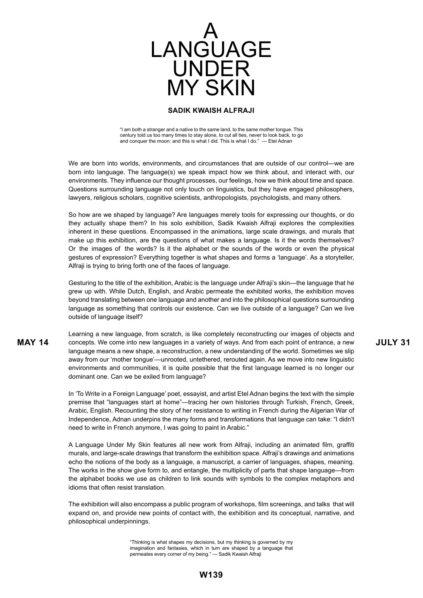

"I am both a stranger and a native to the same land, to the same mother tongue. This century told us too many times to stay alone, to cut all ties, never to look back, to go and conquer the moon: and this is what I did. This is what I do." — Etel Adnan

We are born into worlds, environments, and circumstances that are outside of our control—we are born into language. The language(s) we speak impact how we think about, and interact with, our environments. They influence our thought processes, our feelings, how we think about time and space. Questions surrounding language not only touch on linguistics, but they have engaged philosophers, lawyers, religious scholars, cognitive scientists, anthropologists, psychologists, and many others.

So how are we shaped by language? Are languages merely tools for expressing our thoughts, or do they actually shape them? In his solo exhibition, Sadik Kwaish Alfraji explores the complexities inherent in these questions. Encompassed in the animations, large scale drawings, and murals that make up this exhibition, are the questions of what makes a language. Is it the words themselves? Or the images of the words? Is it the alphabet or the sounds of the words or even the physical gestures of expression? Everything together is what shapes and forms a 'language'. As a storyteller, Alfraji is trying to bring forth one of the faces of language.

Gesturing to the title of the exhibition, Arabic is the language under Alfraji's skin—the language that he grew up with. While Dutch, English, and Arabic permeate the exhibited works, the exhibition moves beyond translating between one language and another and into the philosophical questions surrounding language as something that controls our existence. Can we live outside of a language? Can we live outside of language itself?

**MAY 14** concepts. We come into new languages in a variety of ways. And from each point of entrance, a new **JULY 31** Learning a new language, from scratch, is like completely reconstructing our images of objects and language means a new shape, a reconstruction, a new understanding of the world. Sometimes we slip away from our 'mother tongue'—unrooted, untethered, rerouted again. As we move into new linguistic environments and communities, it is quite possible that the first language learned is no longer our dominant one. Can we be exiled from language?

> In 'To Write in a Foreign Language' poet, essayist, and artist Etel Adnan begins the text with the simple premise that "languages start at home"—tracing her own histories through Turkish, French, Greek, Arabic, English. Recounting the story of her resistance to writing in French during the Algerian War of Independence, Adnan underpins the many forms and transformations that language can take: "I didn't need to write in French anymore, I was going to paint in Arabic."

> A Language Under My Skin features all new work from Alfraji, including an animated film, graffiti murals, and large-scale drawings that transform the exhibition space. Alfraji's drawings and animations echo the notions of the body as a language, a manuscript, a carrier of languages, shapes, meaning. The works in the show give form to, and entangle, the multiplicity of parts that shape language—from the alphabet books we use as children to link sounds with symbols to the complex metaphors and idioms that often resist translation.

> The exhibition will also encompass a public program of workshops, film screenings, and talks that will expand on, and provide new points of contact with, the exhibition and its conceptual, narrative, and philosophical underpinnings.

> > "Thinking is what shapes my decisions, but my thinking is governed by my imagination and fantasies, which in turn are shaped by a language that permeates every corner of my being." — Sadik Kwaish Alfraji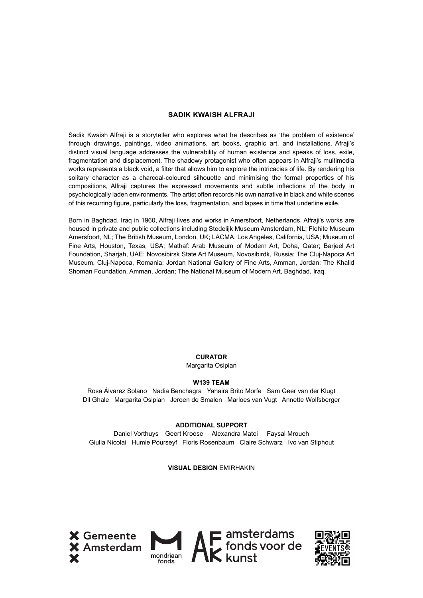Sadik Kwaish Alfraji is a storyteller who explores what he describes as 'the problem of existence' through drawings, paintings, video animations, art books, graphic art, and installations. Afraji's distinct visual language addresses the vulnerability of human existence and speaks of loss, exile, fragmentation and displacement. The shadowy protagonist who often appears in Alfraji's multimedia works represents a black void, a filter that allows him to explore the intricacies of life. By rendering his solitary character as a charcoal-coloured silhouette and minimising the formal properties of his compositions, Alfraji captures the expressed movements and subtle inflections of the body in psychologically laden environments. The artist often records his own narrative in black and white scenes of this recurring figure, particularly the loss, fragmentation, and lapses in time that underline exile.

Born in Baghdad, Iraq in 1960, Alfraji lives and works in Amersfoort, Netherlands. Alfraji's works are housed in private and public collections including Stedelijk Museum Amsterdam, NL; Flehite Museum Amersfoort, NL; The British Museum, London, UK; LACMA, Los Angeles, California, USA; Museum of Fine Arts, Houston, Texas, USA; Mathaf: Arab Museum of Modern Art, Doha, Qatar; Barjeel Art Foundation, Sharjah, UAE; Novosibirsk State Art Museum, Novosibirdk, Russia; The Cluj-Napoca Art Museum, Cluj-Napoca, Romania; Jordan National Gallery of Fine Arts, Amman, Jordan; The Khalid Shoman Foundation, Amman, Jordan; The National Museum of Modern Art, Baghdad, Iraq.

# **CURATOR**

### Margarita Osipian

### **W139 TEAM**

Rosa Álvarez Solano Nadia Benchagra Yahaira Brito Morfe Sam Geer van der Klugt Dil Ghale Margarita Osipian Jeroen de Smalen Marloes van Vugt Annette Wolfsberger

#### **ADDITIONAL SUPPORT**

Daniel Vorthuys Geert Kroese Alexandra Matei Faysal Mroueh Giulia Nicolai Humie Pourseyf Floris Rosenbaum Claire Schwarz Ivo van Stiphout

#### **VISUAL DESIGN** EMIRHAKIN





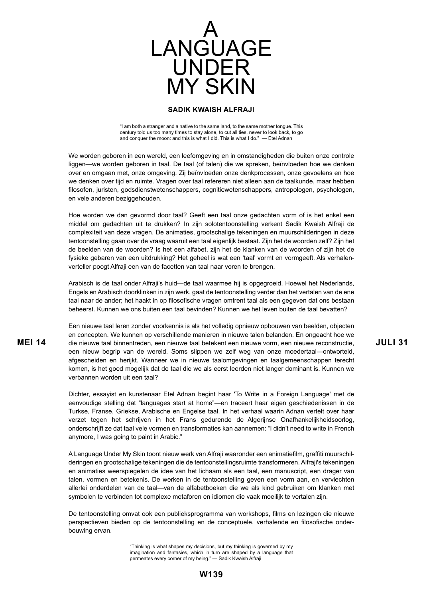

"I am both a stranger and a native to the same land, to the same mother tongue. This century told us too many times to stay alone, to cut all ties, never to look back, to go and conquer the moon: and this is what I did. This is what I do."  $-$  Etel Adnan

We worden geboren in een wereld, een leefomgeving en in omstandigheden die buiten onze controle liggen—we worden geboren in taal. De taal (of talen) die we spreken, beïnvloeden hoe we denken over en omgaan met, onze omgeving. Zij beïnvloeden onze denkprocessen, onze gevoelens en hoe we denken over tijd en ruimte. Vragen over taal refereren niet alleen aan de taalkunde, maar hebben filosofen, juristen, godsdienstwetenschappers, cognitiewetenschappers, antropologen, psychologen, en vele anderen beziggehouden.

Hoe worden we dan gevormd door taal? Geeft een taal onze gedachten vorm of is het enkel een middel om gedachten uit te drukken? In zijn solotentoonstelling verkent Sadik Kwaish Alfraji de complexiteit van deze vragen. De animaties, grootschalige tekeningen en muurschilderingen in deze tentoonstelling gaan over de vraag waaruit een taal eigenlijk bestaat. Zijn het de woorden zelf? Zijn het de beelden van de woorden? Is het een alfabet, zijn het de klanken van de woorden of zijn het de fysieke gebaren van een uitdrukking? Het geheel is wat een 'taal' vormt en vormgeeft. Als verhalenverteller poogt Alfraji een van de facetten van taal naar voren te brengen.

Arabisch is de taal onder Alfraji's huid—de taal waarmee hij is opgegroeid. Hoewel het Nederlands, Engels en Arabisch doorklinken in zijn werk, gaat de tentoonstelling verder dan het vertalen van de ene taal naar de ander; het haakt in op filosofische vragen omtrent taal als een gegeven dat ons bestaan beheerst. Kunnen we ons buiten een taal bevinden? Kunnen we het leven buiten de taal bevatten?

**MEI 14 JULI 31** die nieuwe taal binnentreden, een nieuwe taal betekent een nieuwe vorm, een nieuwe reconstructie, Een nieuwe taal leren zonder voorkennis is als het volledig opnieuw opbouwen van beelden, objecten en concepten. We kunnen op verschillende manieren in nieuwe talen belanden. En ongeacht hoe we een nieuw begrip van de wereld. Soms slippen we zelf weg van onze moedertaal—ontworteld, afgescheiden en herijkt. Wanneer we in nieuwe taalomgevingen en taalgemeenschappen terecht komen, is het goed mogelijk dat de taal die we als eerst leerden niet langer dominant is. Kunnen we verbannen worden uit een taal?

> Dichter, essayist en kunstenaar Etel Adnan begint haar 'To Write in a Foreign Language' met de eenvoudige stelling dat "languages start at home"—en traceert haar eigen geschiedenissen in de Turkse, Franse, Griekse, Arabische en Engelse taal. In het verhaal waarin Adnan vertelt over haar verzet tegen het schrijven in het Frans gedurende de Algerijnse Onafhankelijkheidsoorlog, onderschrijft ze dat taal vele vormen en transformaties kan aannemen: "I didn't need to write in French anymore, I was going to paint in Arabic."

> A Language Under My Skin toont nieuw werk van Alfraji waaronder een animatiefilm, graffiti muurschilderingen en grootschalige tekeningen die de tentoonstellingsruimte transformeren. Alfraji's tekeningen en animaties weerspiegelen de idee van het lichaam als een taal, een manuscript, een drager van talen, vormen en betekenis. De werken in de tentoonstelling geven een vorm aan, en vervlechten allerlei onderdelen van de taal—van de alfabetboeken die we als kind gebruiken om klanken met symbolen te verbinden tot complexe metaforen en idiomen die vaak moeilijk te vertalen zijn.

> De tentoonstelling omvat ook een publieksprogramma van workshops, films en lezingen die nieuwe perspectieven bieden op de tentoonstelling en de conceptuele, verhalende en filosofische onderbouwing ervan.

> > "Thinking is what shapes my decisions, but my thinking is governed by my imagination and fantasies, which in turn are shaped by a language that permeates every corner of my being." — Sadik Kwaish Alfraji